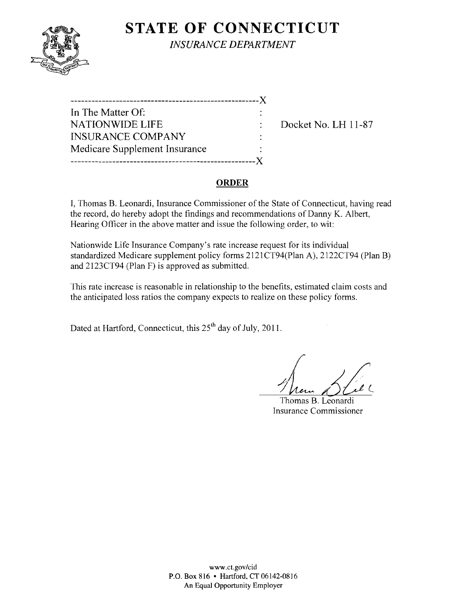

**STATE OF CONNECTICUT** *INSURANCE DEPARTMENT* 

| ____________                  |  |
|-------------------------------|--|
| In The Matter Of:             |  |
| <b>NATIONWIDE LIFE</b>        |  |
| <b>INSURANCE COMPANY</b>      |  |
| Medicare Supplement Insurance |  |
| ----------------              |  |

Docket No. LH 11-87

### ORDER

I, Thomas B. Leonardi, Insurance Commissioner of the State of Connecticut, having read the record, do hereby adopt the findings and recommendations of Danny K. Albert, Hearing Officer in the above matter and issue the following order, to wit:

Nationwide Life Insurance Company's rate increase request for its individual standardized Medicare supplement policy forms 2121CT94(Plan A), 2122CT94 (Plan B) and 2123CT94 (Plan F) is approved as submitted.

This rate increase is reasonable in relationship to the benefits, estimated claim costs and the anticipated loss ratios the company expects to realize on these policy forms.

Dated at Hartford, Connecticut, this 25<sup>th</sup> day of July, 2011.

Meur DEC

Thomas B. Leonardi Insurance Commissioner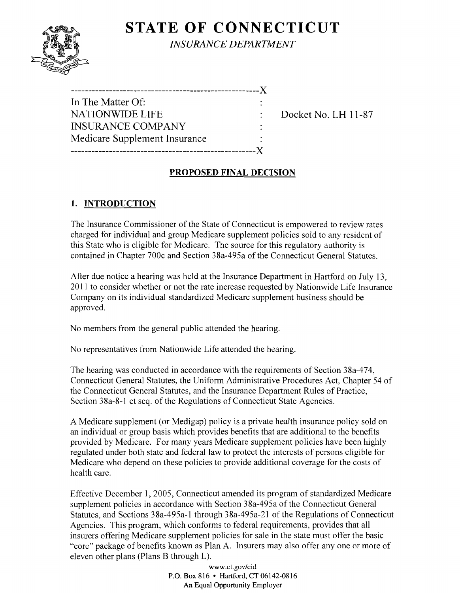# **STATE OF CONNECTICUT**



*INSURANCE DEPARTMENT* 

| In The Matter Of:             |  |
|-------------------------------|--|
| <b>NATIONWIDE LIFE</b>        |  |
| <b>INSURANCE COMPANY</b>      |  |
| Medicare Supplement Insurance |  |
|                               |  |

Docket No. LH 11-87

# **PROPOSED FINAL DECISION**

# **1. INTRODUCTION**

The Insurance Commissioner of the State of Connecticut is empowered to review rates charged for individual and group Medicare supplement policies sold to any resident of this State who is eligible for Medicare. The source for this regulatory authority is contained in Chapter 700c and Section 38a-495a of the Connecticut General Statutes.

After due notice a hearing was held at the Insurance Department in Hartford on July 13, 2011 to consider whether or not the rate increase requested by Nationwide Life Insurance Company on its individual standardized Medicare supplement business should be approved.

No members from the general public attended the hearing.

No representatives from Nationwide Life attended the hearing.

The hearing was conducted in accordance with the requirements of Section 38a-474, Connecticut General Statutes, the Uniform Administrative Procedures Act, Chapter 54 of the Connecticut General Statutes, and the Insurance Department Rules of Practice, Section 38a-8-1 et seq. of the Regulations of Connecticut State Agencies.

A Medicare supplement (or Medigap) policy is a private health insurance policy sold on an individual or group basis which provides benefits that are additional to the benefits provided by Medicare. For many years Medicare supplement policies have been highly regulated under both state and federal law to protect the interests of persons eligible for Medicare who depend on these policies to provide additional coverage for the costs of health care.

Effective December 1,2005, Connecticut amended its program of standardized Medicare supplement policies in accordance with Section 38a-495a of the Connecticut General Statutes, and Sections 38a-495a-l through 38a-495a-21 of the Regulations of Connecticut Agencies. This program, which conforms to federal requirements, provides that all insurers offering Medicare supplement policies for sale in the state must offer the basic "core" package of benefits known as Plan A. Insurers may also offer anyone or more of eleven other plans (Plans B through L).

> www.ct.gov/cid P.O. Box 816 • Hartford, CT 06142-0816 An Equal Opportunity Employer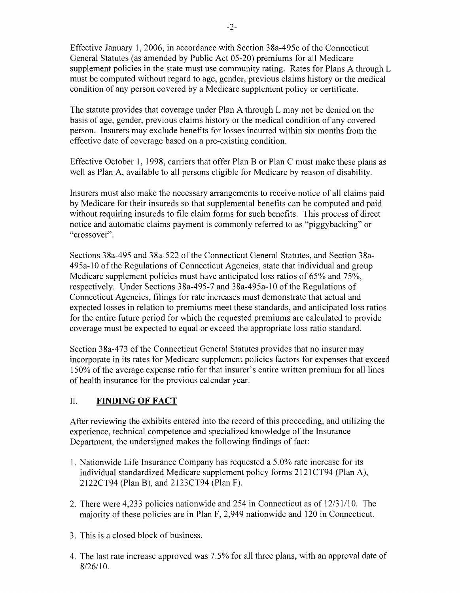Effective January 1,2006, in accordance with Section 38a-495c of the Connecticut General Statutes (as amended by Public Act 05-20) premiums for all Medicare supplement policies in the state must use community rating. Rates for Plans A through L must be computed without regard to age, gender, previous claims history or the medical condition of any person covered by a Medicare supplement policy or certificate.

The statute provides that coverage under Plan A through L may not be denied on the basis of age, gender, previous claims history or the medical condition of any covered person. Insurers may exclude benefits for losses incurred within six months from the effective date of coverage based on a pre-existing condition.

Effective October I, 1998, carriers that offer Plan B or Plan C must make these plans as well as Plan A, available to all persons eligible for Medicare by reason of disability.

Insurers must also make the necessary arrangements to receive notice of all claims paid by Medicare for their insureds so that supplemental benefits can be computed and paid without requiring insureds to file claim forms for such benefits. This process of direct notice and automatic claims payment is commonly referred to as "piggybacking" or "crossover".

Sections 38a-495 and 38a-522 of the Connecticut General Statutes, and Section 38a-495a-IO of the Regulations of Connecticut Agencies, state that individual and group Medicare supplement policies must have anticipated loss ratios of 65% and 75%, respectively. Under Sections 38a-495-7 and 38a-495a-IO of the Regulations of Connecticut Agencies, filings for rate increases must demonstrate that actual and expected losses in relation to premiums meet these standards, and anticipated loss ratios for the entire future period for which the requested premiums are calculated to provide coverage must be expected to equal or exceed the appropriate loss ratio standard.

Section 38a-473 of the Connecticut General Statutes provides that no insurer may incorporate in its rates for Medicare supplement policies factors for expenses that exceed 150% of the average expense ratio for that insurer's entire written premium for all lines of health insurance for the previous calendar year.

### II. **FINDING OF FACT**

After reviewing the exhibits entered into the record of this proceeding, and utilizing the experience, technical competence and specialized knowledge of the Insurance Department, the undersigned makes the following findings of fact:

- 1. Nationwide Life Insurance Company has requested a 5.0% rate increase for its individual standardized Medicare supplement policy forms 2121CT94 (Plan A), 2122CT94 (Plan B), and 2123CT94 (Plan F).
- 2. There were 4,233 policies nationwide and 254 in Connecticut as of 12/31/10. The majority of these policies are in Plan F, 2,949 nationwide and 120 in Connecticut.
- 3. This is a closed block of business.
- 4. The last rate increase approved was 7.5% for all three plans, with an approval date of 8/26/10.